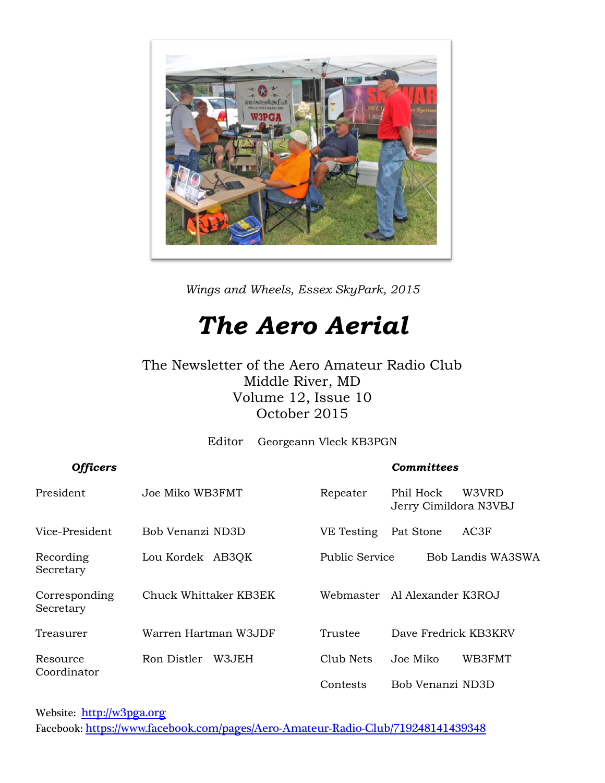

*Wings and Wheels, Essex SkyPark, 2015*

## *The Aero Aerial*

#### The Newsletter of the Aero Amateur Radio Club Middle River, MD Volume 12, Issue 10 October 2015

Editor Georgeann Vleck KB3PGN

#### *Officers Committees*

| President                  | Joe Miko WB3FMT       | Repeater              | Phil Hock<br>W3VRD<br>Jerry Cimildora N3VBJ |
|----------------------------|-----------------------|-----------------------|---------------------------------------------|
| Vice-President             | Bob Venanzi ND3D      | VE Testing            | Pat Stone<br>AC3F                           |
| Recording<br>Secretary     | Lou Kordek AB3QK      | <b>Public Service</b> | Bob Landis WA3SWA                           |
| Corresponding<br>Secretary | Chuck Whittaker KB3EK | Webmaster             | Al Alexander K3ROJ                          |
| Treasurer                  | Warren Hartman W3JDF  | Trustee               | Dave Fredrick KB3KRV                        |
| Resource                   | W3.JEH<br>Ron Distler | Club Nets             | WB3FMT<br>Joe Miko                          |
| Coordinator                |                       | Contests              | Bob Venanzi ND3D                            |

Website: [http://w](http://home.comcast.net/~frank-stone/Aero%20ARC/aero.htm)3pga.org Facebook: <https://www.facebook.com/pages/Aero-Amateur-Radio-Club/719248141439348>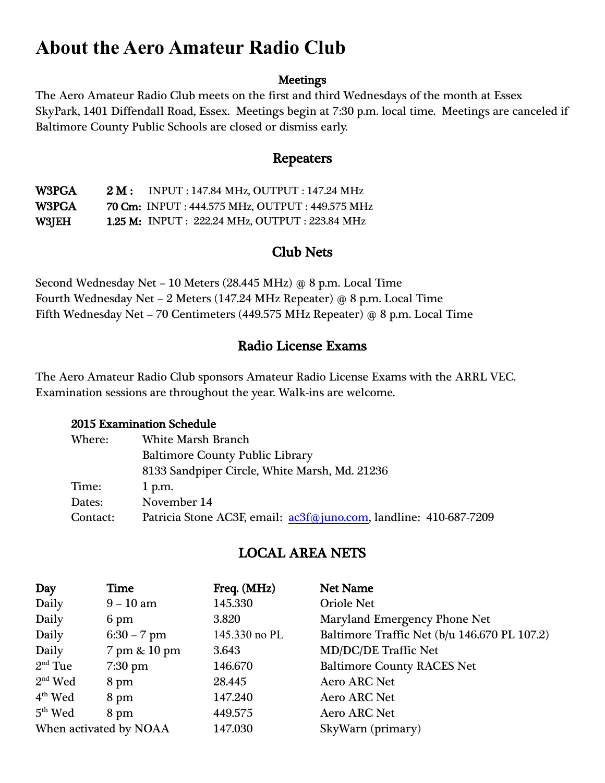### **About the Aero Amateur Radio Club**

#### **Meetings**

The Aero Amateur Radio Club meets on the first and third Wednesdays of the month at Essex SkyPark, 1401 Diffendall Road, Essex. Meetings begin at 7:30 p.m. local time. Meetings are canceled if Baltimore County Public Schools are closed or dismiss early.

#### Repeaters

W3PGA 2 M : INPUT : 147.84 MHz, OUTPUT : 147.24 MHz W3PGA 70 Cm: INPUT : 444.575 MHz, OUTPUT : 449.575 MHz W3JEH 1.25 M: INPUT : 222.24 MHz, OUTPUT : 223.84 MHz

#### Club Nets

Second Wednesday Net – 10 Meters (28.445 MHz) @ 8 p.m. Local Time Fourth Wednesday Net – 2 Meters (147.24 MHz Repeater) @ 8 p.m. Local Time Fifth Wednesday Net – 70 Centimeters (449.575 MHz Repeater) @ 8 p.m. Local Time

#### Radio License Exams

The Aero Amateur Radio Club sponsors Amateur Radio License Exams with the ARRL VEC. Examination sessions are throughout the year. Walk-ins are welcome.

#### 2015 Examination Schedule

| Where:   | <b>White Marsh Branch</b>                                         |  |  |  |
|----------|-------------------------------------------------------------------|--|--|--|
|          | <b>Baltimore County Public Library</b>                            |  |  |  |
|          | 8133 Sandpiper Circle, White Marsh, Md. 21236                     |  |  |  |
| Time:    | $1$ p.m.                                                          |  |  |  |
| Dates:   | November 14                                                       |  |  |  |
| Contact: | Patricia Stone AC3F, email: ac3f@juno.com, landline: 410-687-7209 |  |  |  |

#### LOCAL AREA NETS

| Day                    | Time          | Freq. (MHz)   | Net Name                                     |
|------------------------|---------------|---------------|----------------------------------------------|
| Daily                  | $9 - 10$ am   | 145.330       | <b>Oriole Net</b>                            |
| Daily                  | 6 pm          | 3.820         | Maryland Emergency Phone Net                 |
| Daily                  | $6:30 - 7$ pm | 145.330 no PL | Baltimore Traffic Net (b/u 146.670 PL 107.2) |
| Daily                  | 7 pm & 10 pm  | 3.643         | <b>MD/DC/DE Traffic Net</b>                  |
| $2nd$ Tue              | $7:30$ pm     | 146.670       | <b>Baltimore County RACES Net</b>            |
| $2nd$ Wed              | 8 pm          | 28.445        | <b>Aero ARC Net</b>                          |
| $4th$ Wed              | 8 pm          | 147.240       | <b>Aero ARC Net</b>                          |
| $5th$ Wed              | 8 pm          | 449.575       | <b>Aero ARC Net</b>                          |
| When activated by NOAA |               | 147.030       | SkyWarn (primary)                            |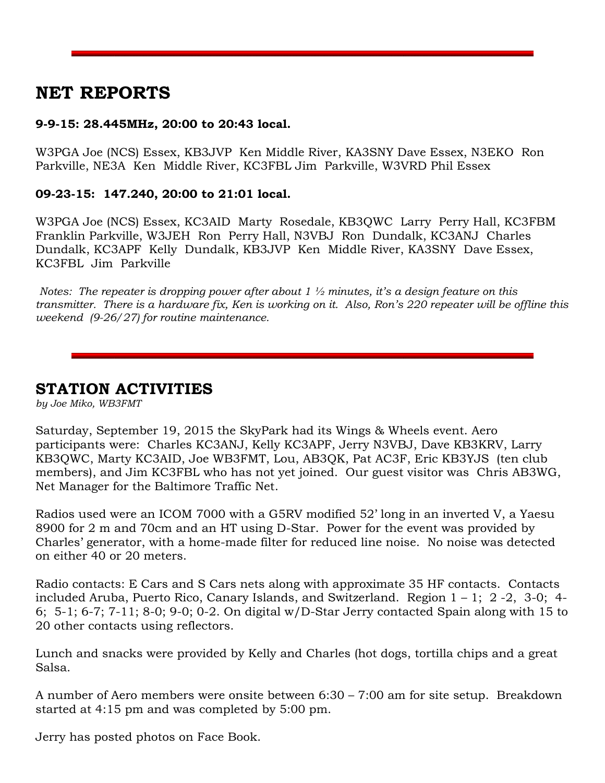#### **NET REPORTS**

#### **9-9-15: 28.445MHz, 20:00 to 20:43 local.**

W3PGA Joe (NCS) Essex, KB3JVP Ken Middle River, KA3SNY Dave Essex, N3EKO Ron Parkville, NE3A Ken Middle River, KC3FBL Jim Parkville, W3VRD Phil Essex

#### **09-23-15: 147.240, 20:00 to 21:01 local.**

W3PGA Joe (NCS) Essex, KC3AID Marty Rosedale, KB3QWC Larry Perry Hall, KC3FBM Franklin Parkville, W3JEH Ron Perry Hall, N3VBJ Ron Dundalk, KC3ANJ Charles Dundalk, KC3APF Kelly Dundalk, KB3JVP Ken Middle River, KA3SNY Dave Essex, KC3FBL Jim Parkville

*Notes: The repeater is dropping power after about 1 ½ minutes, it's a design feature on this transmitter. There is a hardware fix, Ken is working on it. Also, Ron's 220 repeater will be offline this weekend (9-26/27) for routine maintenance.*

**STATION ACTIVITIES**

*by Joe Miko, WB3FMT*

Saturday, September 19, 2015 the SkyPark had its Wings & Wheels event. Aero participants were: Charles KC3ANJ, Kelly KC3APF, Jerry N3VBJ, Dave KB3KRV, Larry KB3QWC, Marty KC3AID, Joe WB3FMT, Lou, AB3QK, Pat AC3F, Eric KB3YJS (ten club members), and Jim KC3FBL who has not yet joined. Our guest visitor was Chris AB3WG, Net Manager for the Baltimore Traffic Net.

Radios used were an ICOM 7000 with a G5RV modified 52' long in an inverted V, a Yaesu 8900 for 2 m and 70cm and an HT using D-Star. Power for the event was provided by Charles' generator, with a home-made filter for reduced line noise. No noise was detected on either 40 or 20 meters.

Radio contacts: E Cars and S Cars nets along with approximate 35 HF contacts. Contacts included Aruba, Puerto Rico, Canary Islands, and Switzerland. Region 1 – 1; 2 -2, 3-0; 4- 6; 5-1; 6-7; 7-11; 8-0; 9-0; 0-2. On digital w/D-Star Jerry contacted Spain along with 15 to 20 other contacts using reflectors.

Lunch and snacks were provided by Kelly and Charles (hot dogs, tortilla chips and a great Salsa.

A number of Aero members were onsite between 6:30 – 7:00 am for site setup. Breakdown started at 4:15 pm and was completed by 5:00 pm.

Jerry has posted photos on Face Book.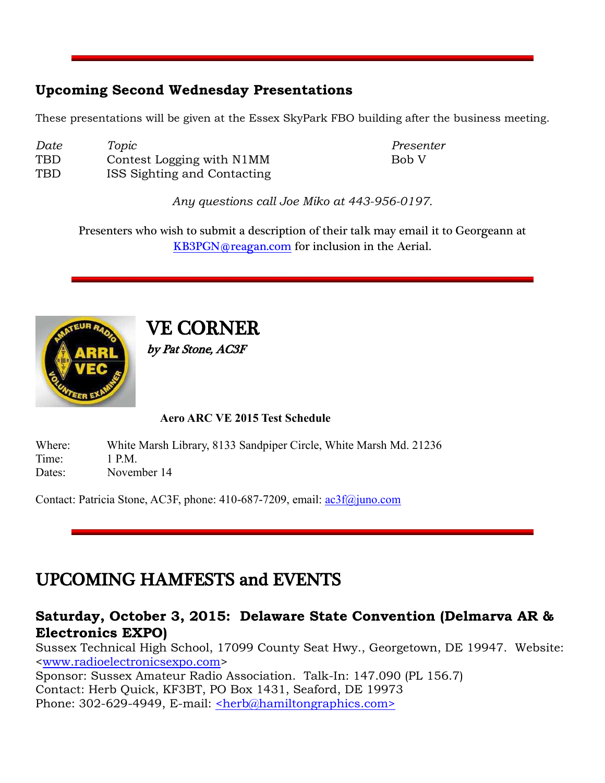#### **Upcoming Second Wednesday Presentations**

These presentations will be given at the Essex SkyPark FBO building after the business meeting.

| Date | Topic                       | Presenter |
|------|-----------------------------|-----------|
| TBD  | Contest Logging with N1MM   | Bob V     |
| TBD  | ISS Sighting and Contacting |           |

*Any questions call Joe Miko at 443-956-0197.*

Presenters who wish to submit a description of their talk may email it to Georgeann at [KB3PGN@reagan.com](mailto:KB3PGN@reagan.com) for inclusion in the Aerial.



## VE CORNER

by Pat Stone, AC3F

#### **Aero ARC VE 2015 Test Schedule**

Where: White Marsh Library, 8133 Sandpiper Circle, White Marsh Md. 21236 Time: 1 PM Dates: November 14

Contact: Patricia Stone, AC3F, phone: 410-687-7209, email: [ac3f@juno.com](mailto:ac3f@juno.com)

#### UPCOMING HAMFESTS and EVENTS

#### **Saturday, October 3, 2015: Delaware State Convention (Delmarva AR & Electronics EXPO)**

Sussex Technical High School, 17099 County Seat Hwy., Georgetown, DE 19947. Website: [<www.radioelectronicsexpo.com>](http://www.radioelectronicsexpo.com/)

Sponsor: Sussex Amateur Radio Association. Talk-In: 147.090 (PL 156.7) Contact: Herb Quick, KF3BT, PO Box 1431, Seaford, DE 19973 Phone: 302-629-4949, E-mail: [<herb@hamiltongraphics.com>](mailto:herb@hamiltongraphics.com)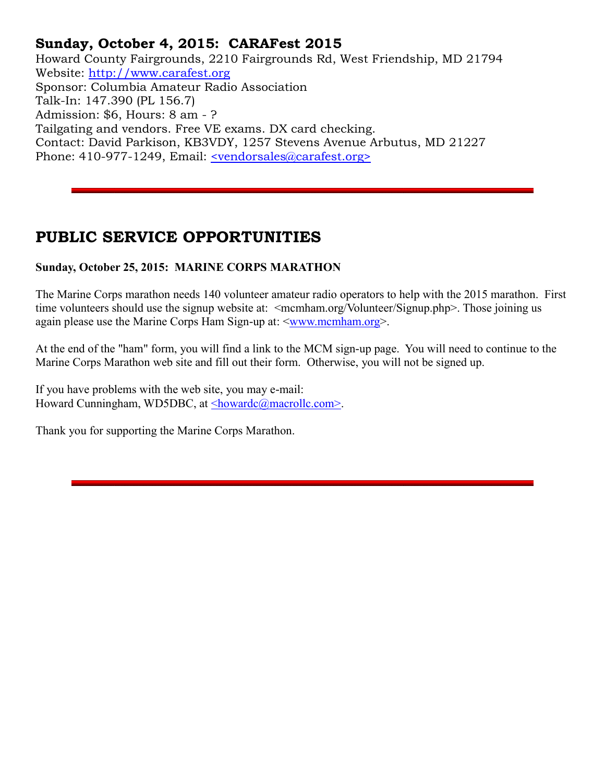#### **Sunday, October 4, 2015: CARAFest 2015**

Howard County Fairgrounds, 2210 Fairgrounds Rd, West Friendship, MD 21794 Website: [http://www.carafest.org](http://www.carafest.org/) Sponsor: Columbia Amateur Radio Association Talk-In: 147.390 (PL 156.7) Admission: \$6, Hours: 8 am - ? Tailgating and vendors. Free VE exams. DX card checking. Contact: David Parkison, KB3VDY, 1257 Stevens Avenue Arbutus, MD 21227 Phone: 410-977-1249, Email: <u><vendorsales@carafest.org></u>

#### **PUBLIC SERVICE OPPORTUNITIES**

#### **Sunday, October 25, 2015: MARINE CORPS MARATHON**

The Marine Corps marathon needs 140 volunteer amateur radio operators to help with the 2015 marathon. First time volunteers should use the signup website at: <mcmham.org/Volunteer/Signup.php>. Those joining us again please use the Marine Corps Ham Sign-up at:  $\langle$ www.mcmham.org>.

At the end of the "ham" form, you will find a link to the MCM sign-up page. You will need to continue to the Marine Corps Marathon web site and fill out their form. Otherwise, you will not be signed up.

If you have problems with the web site, you may e-mail: Howard Cunningham, WD5DBC, at [<howardc@macrollc.com>.](mailto:howardc@macrollc.com)

Thank you for supporting the Marine Corps Marathon.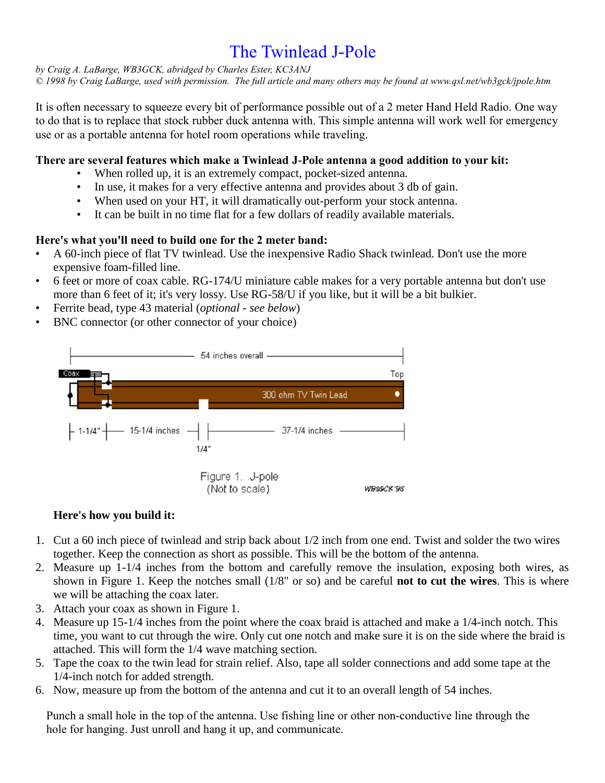#### The Twinlead J-Pole

*by Craig A. LaBarge, WB3GCK, abridged by Charles Ester, KC3ANJ*

*© 1998 by Craig LaBarge, used with permission. The full article and many others may be found at www.qsl.net/wb3gck/jpole.htm*

It is often necessary to squeeze every bit of performance possible out of a 2 meter Hand Held Radio. One way to do that is to replace that stock rubber duck antenna with. This simple antenna will work well for emergency use or as a portable antenna for hotel room operations while traveling.

#### **There are several features which make a Twinlead J-Pole antenna a good addition to your kit:**

- When rolled up, it is an extremely compact, pocket-sized antenna.
- In use, it makes for a very effective antenna and provides about 3 db of gain.
- When used on your HT, it will dramatically out-perform your stock antenna.
- It can be built in no time flat for a few dollars of readily available materials.

#### **Here's what you'll need to build one for the 2 meter band:**

- A 60-inch piece of flat TV twinlead. Use the inexpensive Radio Shack twinlead. Don't use the more expensive foam-filled line.
- 6 feet or more of coax cable. RG-174/U miniature cable makes for a very portable antenna but don't use more than 6 feet of it; it's very lossy. Use RG-58/U if you like, but it will be a bit bulkier.
- Ferrite bead, type 43 material (*optional - see below*)
- BNC connector (or other connector of your choice)



#### **Here's how you build it:**

- 1. Cut a 60 inch piece of twinlead and strip back about 1/2 inch from one end. Twist and solder the two wires together. Keep the connection as short as possible. This will be the bottom of the antenna.
- 2. Measure up 1-1/4 inches from the bottom and carefully remove the insulation, exposing both wires, as shown in Figure 1. Keep the notches small (1/8" or so) and be careful **not to cut the wires**. This is where we will be attaching the coax later.
- 3. Attach your coax as shown in Figure 1.
- 4. Measure up 15-1/4 inches from the point where the coax braid is attached and make a 1/4-inch notch. This time, you want to cut through the wire. Only cut one notch and make sure it is on the side where the braid is attached. This will form the 1/4 wave matching section.
- 5. Tape the coax to the twin lead for strain relief. Also, tape all solder connections and add some tape at the 1/4-inch notch for added strength.
- 6. Now, measure up from the bottom of the antenna and cut it to an overall length of 54 inches.

Punch a small hole in the top of the antenna. Use fishing line or other non-conductive line through the hole for hanging. Just unroll and hang it up, and communicate.